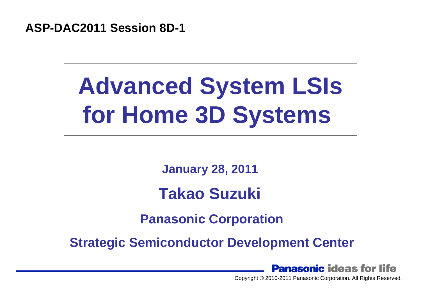**ASP-DAC2011 Session 8D-1**

# **Advanced System LSIs Advanced System LSIs for Home 3D Systems for Home 3D Systems**

**January 28, 2011 January 28, 2011** 

## **Takao Suzuki Takao Suzuki**

**Panasonic Corporation Panasonic Corporation**

**Strategic Semiconductor Development Center Strategic Semiconductor Development Center**

**Panasonic ideas for life**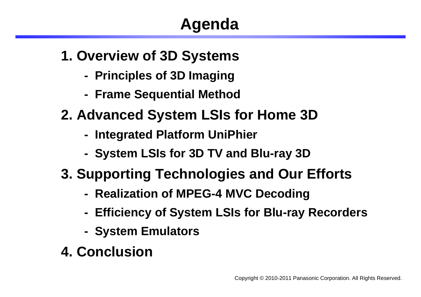## **Agenda**

- **1. Overview of 3D Systems**
	- **Principles of 3D Imaging**
	- **Frame Sequential Method**
- **2. Advanced System LSIs for Home 3D**
	- **Integrated Platform UniPhier**
	- **System LSIs for 3D TV and Blu-ray 3D**
- **3. Supporting Technologies and Our Efforts**
	- **Realization of MPEG-4 MVC Decoding**
	- **Efficiency of System LSIs for Blu-ray Recorders**
	- **System Emulators**
- **4. Conclusion**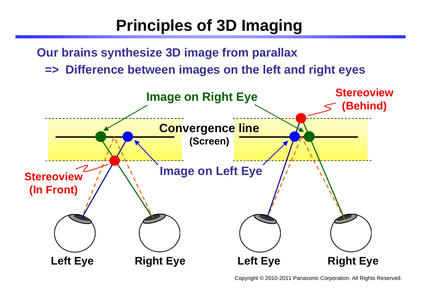## **Principles of 3D Imaging**

**Our brains synthesize 3D image from parallax** 

**=> Difference between images on the left and right eyes**

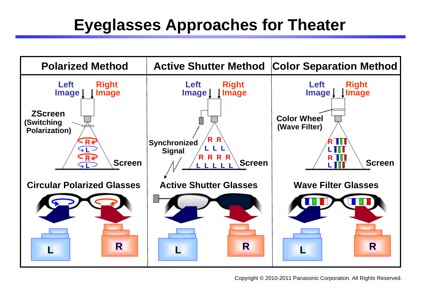## **Eyeglasses Approaches for Theater**

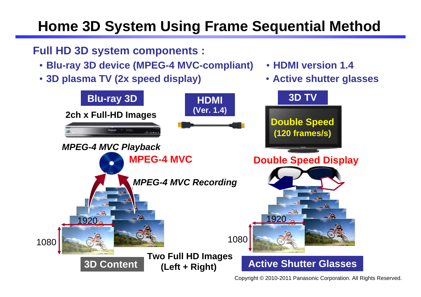## **Home 3D System Using Frame Sequential Method**

#### **Full HD 3D system components :**

- ・ **Blu-ray 3D device (MPEG-4 MVC-compliant)**
- ・ **3D plasma TV (2x speed display)**



Copyright © 2010-2011 Panasonic Corporation. All Rights Reserved.

・**HDMI version 1.4**

・ **Active shutter glasses**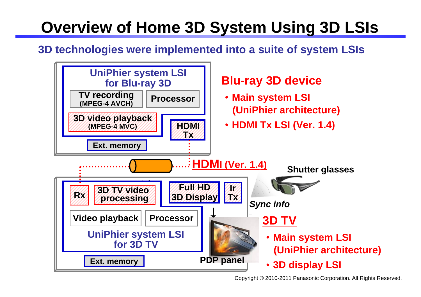## **Overview of Home 3D System Using 3D LSIs**

#### **3D technologies were implemented into a suite of system LSIs**

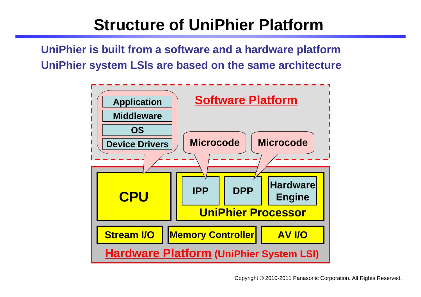## **Structure of UniPhier Platform**

**UniPhier is built from a software and a hardware platform UniPhier system LSIs are based on the same architecture**

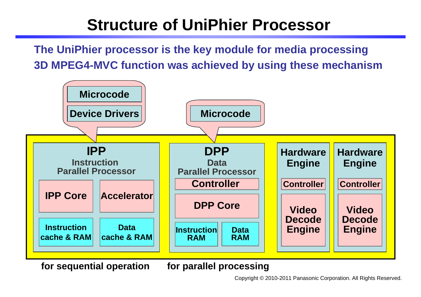## **Structure of UniPhier Processor**

**The UniPhier processor is the key module for media processing 3D MPEG4-MVC function was achieved by using these mechanism**



**for sequential operation for parallel processing**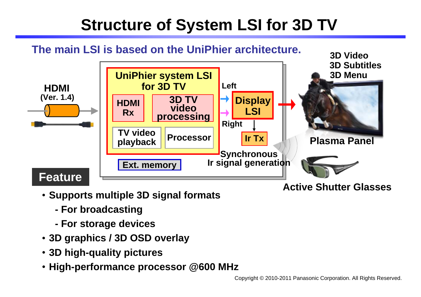## **Structure of System LSI for 3D TV**

### **The main LSI is based on the UniPhier architecture. 3D Video**



- ・ **Supports multiple 3D signal formats**
	- **For broadcasting**
	- **For storage devices**
- ・ **3D graphics / 3D OSD overlay**
- ・ **3D high-quality pictures**
- ・ **High-performance processor @600 MHz**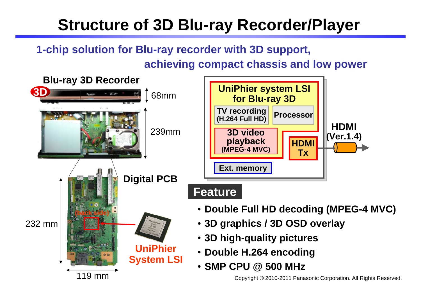## **Structure of 3D Blu-ray Recorder/Player**

#### **1-chip solution for Blu-ray recorder with 3D support, achieving compact chassis and low power**

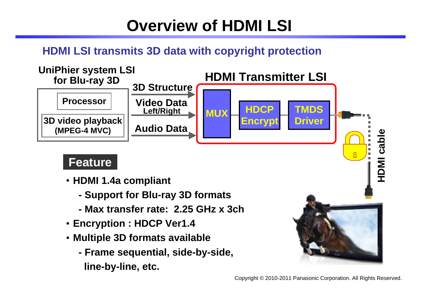## **Overview of HDMI LSI**

#### **HDMI LSI transmits 3D data with copyright protection**



- ・ **HDMI 1.4a compliant**
	- **Support for Blu-ray 3D formats**
	- **Max transfer rate: 2.25 GHz x 3ch**
- ・ **Encryption : HDCP Ver1.4**
- ・ **Multiple 3D formats available**
	- **Frame sequential, side-by-side,**
		- **line-by-line, etc.**

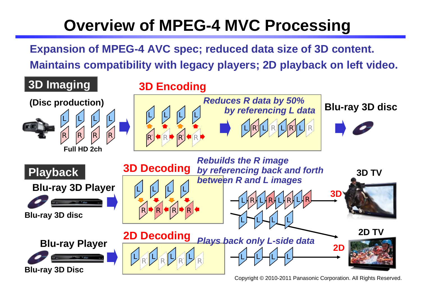## **Overview of MPEG-4 MVC Processing**

**Expansion of MPEG-4 AVC spec; reduced data size of 3D content.** 

**Maintains compatibility with legacy players; 2D playback on left video.**

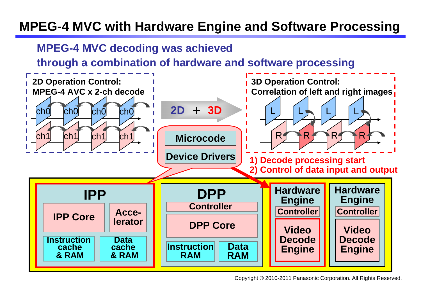#### **MPEG-4 MVC with Hardware Engine and Software Processing**

#### **MPEG-4 MVC decoding was achieved**

**through a combination of hardware and software processing**

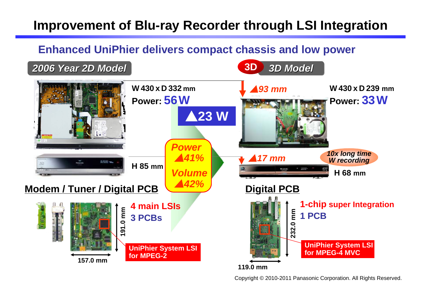### **Improvement of Blu-ray Recorder through LSI Integration**

#### **Enhanced UniPhier delivers compact chassis and low power**

*2006 Year 2D Model 2006 Year 2D Model* **3D** *3D Model 3D Model* 

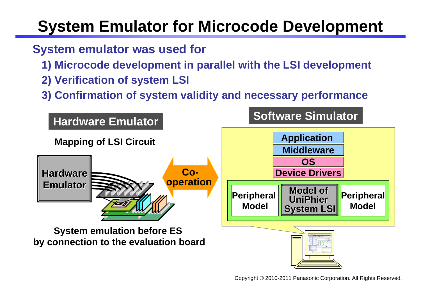## **System Emulator for Microcode Development**

#### **System emulator was used for**

- **1) Microcode development in parallel with the LSI development**
- **2) Verification of system LSI**
- **3) Confirmation of system validity and necessary performance**

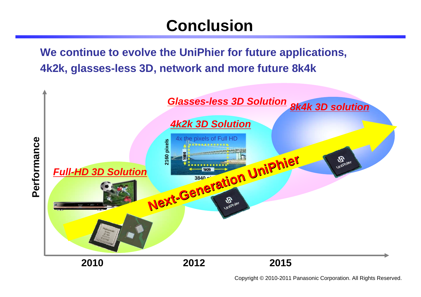## **Conclusion**

**We continue to evolve the UniPhier for future applications, 4k2k, glasses-less 3D, network and more future 8k4k**